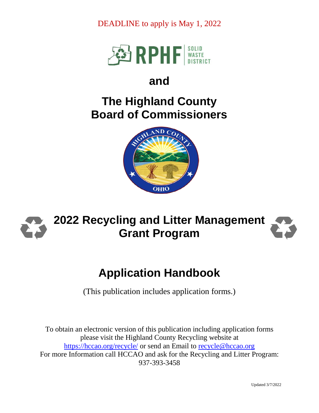DEADLINE to apply is May 1, 2022



## **and**

## **The Highland County Board of Commissioners**





# **Application Handbook**

(This publication includes application forms.)

To obtain an electronic version of this publication including application forms please visit the Highland County Recycling website at <https://hccao.org/recycle/> or send an Email to [recycle@hccao.org](mailto:recycle@hccao.org) For more Information call HCCAO and ask for the Recycling and Litter Program: 937-393-3458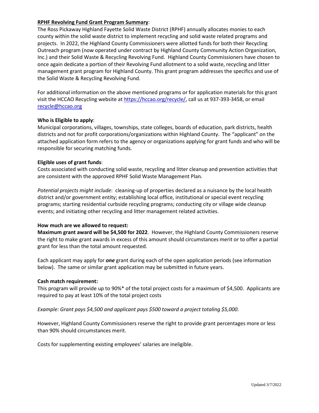#### **RPHF Revolving Fund Grant Program Summary**:

The Ross Pickaway Highland Fayette Solid Waste District (RPHF) annually allocates monies to each county within the solid waste district to implement recycling and solid waste related programs and projects. In 2022, the Highland County Commissioners were allotted funds for both their Recycling Outreach program (now operated under contract by Highland County Community Action Organization, Inc.) and their Solid Waste & Recycling Revolving Fund. Highland County Commissioners have chosen to once again dedicate a portion of their Revolving Fund allotment to a solid waste, recycling and litter management grant program for Highland County. This grant program addresses the specifics and use of the Solid Waste & Recycling Revolving Fund.

For additional information on the above mentioned programs or for application materials for this grant visit the HCCAO Recycling website at [https://hccao.org/recycle/,](https://hccao.org/recycle/) call us at 937-393-3458, or email [recycle@hccao.org](mailto:recycle@hccao.org)

#### **Who is Eligible to apply**:

Municipal corporations, villages, townships, state colleges, boards of education, park districts, health districts and not for profit corporations/organizations within Highland County. The "applicant" on the attached application form refers to the agency or organizations applying for grant funds and who will be responsible for securing matching funds.

#### **Eligible uses of grant funds**:

Costs associated with conducting solid waste, recycling and litter cleanup and prevention activities that are consistent with the approved RPHF Solid Waste Management Plan.

*Potential projects might include*: cleaning-up of properties declared as a nuisance by the local health district and/or government entity; establishing local office, institutional or special event recycling programs; starting residential curbside recycling programs; conducting city or village wide cleanup events; and initiating other recycling and litter management related activities.

#### **How much are we allowed to request:**

**Maximum grant award will be \$4,500 for 2022**. However, the Highland County Commissioners reserve the right to make grant awards in excess of this amount should circumstances merit or to offer a partial grant for less than the total amount requested.

Each applicant may apply for *one* grant during each of the open application periods (see information below). The same or similar grant application may be submitted in future years.

#### **Cash match requirement:**

This program will provide up to 90%\* of the total project costs for a maximum of \$4,500. Applicants are required to pay at least 10% of the total project costs

*Example: Grant pays \$4,500 and applicant pays \$500 toward a project totaling \$5,000.*

However, Highland County Commissioners reserve the right to provide grant percentages more or less than 90% should circumstances merit.

Costs for supplementing existing employees' salaries are ineligible.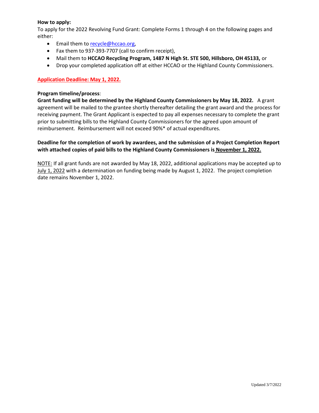#### **How to apply:**

To apply for the 2022 Revolving Fund Grant: Complete Forms 1 through 4 on the following pages and either:

- **Email them to [recycle@hccao.org,](mailto:recycle@hccao.org)**
- Fax them to 937-393-7707 (call to confirm receipt),
- Mail them to **HCCAO Recycling Program, 1487 N High St. STE 500, Hillsboro, OH 45133,** or
- Drop your completed application off at either HCCAO or the Highland County Commissioners.

#### **Application Deadline: May 1, 2022.**

#### **Program timeline/process**:

**Grant funding will be determined by the Highland County Commissioners by May 18, 2022.** A grant agreement will be mailed to the grantee shortly thereafter detailing the grant award and the process for receiving payment. The Grant Applicant is expected to pay all expenses necessary to complete the grant prior to submitting bills to the Highland County Commissioners for the agreed upon amount of reimbursement. Reimbursement will not exceed 90%\* of actual expenditures.

#### **Deadline for the completion of work by awardees, and the submission of a Project Completion Report with attached copies of paid bills to the Highland County Commissioners is November 1, 2022.**

NOTE: If all grant funds are not awarded by May 18, 2022, additional applications may be accepted up to July 1, 2022 with a determination on funding being made by August 1, 2022. The project completion date remains November 1, 2022.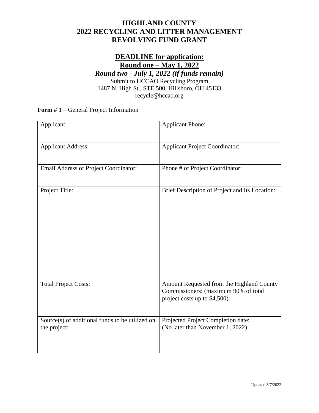### **HIGHLAND COUNTY 2022 RECYCLING AND LITTER MANAGEMENT REVOLVING FUND GRANT**

## **DEADLINE for application: Round one – May 1, 2022** *Round two - July 1, 2022 (if funds remain)*

Submit to HCCAO Recycling Program 1487 N. High St., STE 500, Hillsboro, OH 45133 recycle@hccao.org

**Form # 1** – General Project Information

| Applicant:                                                      | <b>Applicant Phone:</b>                                                                                           |
|-----------------------------------------------------------------|-------------------------------------------------------------------------------------------------------------------|
| <b>Applicant Address:</b>                                       | <b>Applicant Project Coordinator:</b>                                                                             |
| Email Address of Project Coordinator:                           | Phone # of Project Coordinator:                                                                                   |
| Project Title:                                                  | Brief Description of Project and Its Location:                                                                    |
| <b>Total Project Costs:</b>                                     | Amount Requested from the Highland County<br>Commissioners: (maximum 90% of total<br>project costs up to \$4,500) |
| Source(s) of additional funds to be utilized on<br>the project: | Projected Project Completion date:<br>(No later than November 1, 2022)                                            |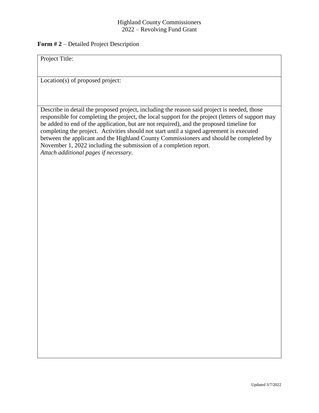#### Highland County Commissioners 2022 – Revolving Fund Grant

#### **Form # 2** – Detailed Project Description

Project Title:

Location(s) of proposed project:

Describe in detail the proposed project, including the reason said project is needed, those responsible for completing the project, the local support for the project (letters of support may be added to end of the application, but are not required), and the proposed timeline for completing the project. Activities should not start until a signed agreement is executed between the applicant and the Highland County Commissioners and should be completed by November 1, 2022 including the submission of a completion report. *Attach additional pages if necessary.*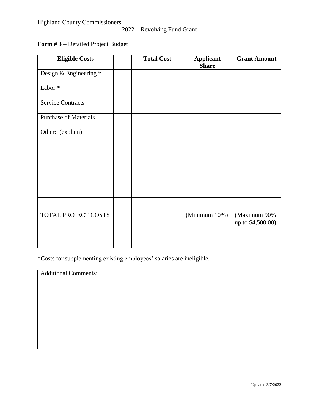### 2022 – Revolving Fund Grant

## **Form # 3** – Detailed Project Budget

| <b>Eligible Costs</b>        | <b>Total Cost</b> | <b>Applicant</b><br><b>Share</b> | <b>Grant Amount</b>               |
|------------------------------|-------------------|----------------------------------|-----------------------------------|
| Design & Engineering *       |                   |                                  |                                   |
| Labor*                       |                   |                                  |                                   |
| <b>Service Contracts</b>     |                   |                                  |                                   |
| <b>Purchase of Materials</b> |                   |                                  |                                   |
| Other: (explain)             |                   |                                  |                                   |
|                              |                   |                                  |                                   |
|                              |                   |                                  |                                   |
|                              |                   |                                  |                                   |
|                              |                   |                                  |                                   |
|                              |                   |                                  |                                   |
| TOTAL PROJECT COSTS          |                   | (Minimum 10%)                    | (Maximum 90%<br>up to \$4,500.00) |
|                              |                   |                                  |                                   |

\*Costs for supplementing existing employees' salaries are ineligible.

Additional Comments: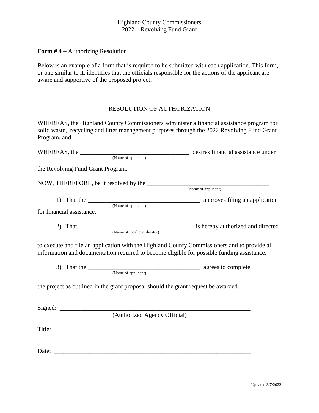#### Highland County Commissioners 2022 – Revolving Fund Grant

**Form # 4** – Authorizing Resolution

Below is an example of a form that is required to be submitted with each application. This form, or one similar to it, identifies that the officials responsible for the actions of the applicant are aware and supportive of the proposed project.

#### RESOLUTION OF AUTHORIZATION

WHEREAS, the Highland County Commissioners administer a financial assistance program for solid waste, recycling and litter management purposes through the 2022 Revolving Fund Grant Program, and

| WHEREAS, the <u>CONSECRETIAL CONSECRETIZED</u> desires financial assistance under                                                                                                          |  |  |  |  |
|--------------------------------------------------------------------------------------------------------------------------------------------------------------------------------------------|--|--|--|--|
|                                                                                                                                                                                            |  |  |  |  |
| the Revolving Fund Grant Program.                                                                                                                                                          |  |  |  |  |
|                                                                                                                                                                                            |  |  |  |  |
|                                                                                                                                                                                            |  |  |  |  |
| 1) That the <u>CONA (Name of applicant)</u> approves filing an application                                                                                                                 |  |  |  |  |
| for financial assistance.                                                                                                                                                                  |  |  |  |  |
|                                                                                                                                                                                            |  |  |  |  |
| to execute and file an application with the Highland County Commissioners and to provide all<br>information and documentation required to become eligible for possible funding assistance. |  |  |  |  |
| 3) That the <u>CONSECRATION</u> agrees to complete                                                                                                                                         |  |  |  |  |
| the project as outlined in the grant proposal should the grant request be awarded.                                                                                                         |  |  |  |  |
| (Authorized Agency Official)                                                                                                                                                               |  |  |  |  |
|                                                                                                                                                                                            |  |  |  |  |
|                                                                                                                                                                                            |  |  |  |  |
| Date:                                                                                                                                                                                      |  |  |  |  |